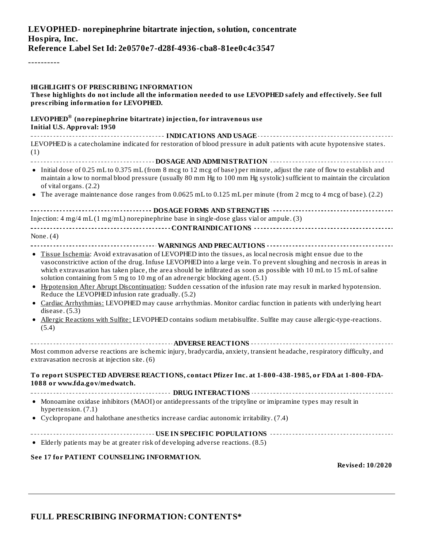| LEVOPHED- norepinephrine bitartrate injection, solution, concentrate |
|----------------------------------------------------------------------|
| Hospira, Inc.                                                        |
| Reference Label Set Id: 2e0570e7-d28f-4936-cba8-81ee0c4c3547         |

----------

| <b>HIGHLIGHTS OF PRESCRIBING INFORMATION</b><br>These highlights do not include all the information needed to use LEVOPHED safely and effectively. See full<br>prescribing information for LEVOPHED.                                                                                                                                                                                                                                                                                                                                                                                                                                                                                                                                                                                                                                                                                                     |
|----------------------------------------------------------------------------------------------------------------------------------------------------------------------------------------------------------------------------------------------------------------------------------------------------------------------------------------------------------------------------------------------------------------------------------------------------------------------------------------------------------------------------------------------------------------------------------------------------------------------------------------------------------------------------------------------------------------------------------------------------------------------------------------------------------------------------------------------------------------------------------------------------------|
| LEVOPHED <sup>®</sup> (norepinephrine bitartrate) injection, for intravenous use<br><b>Initial U.S. Approval: 1950</b>                                                                                                                                                                                                                                                                                                                                                                                                                                                                                                                                                                                                                                                                                                                                                                                   |
| LEVOPHED is a catecholamine indicated for restoration of blood pressure in adult patients with acute hypotensive states.<br>(1)                                                                                                                                                                                                                                                                                                                                                                                                                                                                                                                                                                                                                                                                                                                                                                          |
|                                                                                                                                                                                                                                                                                                                                                                                                                                                                                                                                                                                                                                                                                                                                                                                                                                                                                                          |
| • Initial dose of 0.25 mL to 0.375 mL (from 8 mcg to 12 mcg of base) per minute, adjust the rate of flow to establish and<br>maintain a low to normal blood pressure (usually 80 mm Hg to 100 mm Hg systolic) sufficient to maintain the circulation<br>of vital organs. (2.2)                                                                                                                                                                                                                                                                                                                                                                                                                                                                                                                                                                                                                           |
| • The average maintenance dose ranges from 0.0625 mL to 0.125 mL per minute (from 2 mcg to 4 mcg of base). (2.2)                                                                                                                                                                                                                                                                                                                                                                                                                                                                                                                                                                                                                                                                                                                                                                                         |
|                                                                                                                                                                                                                                                                                                                                                                                                                                                                                                                                                                                                                                                                                                                                                                                                                                                                                                          |
| Injection: $4 \text{ mg}/4 \text{ mL} (1 \text{ mg}/\text{m})$ norepinephrine base in single-dose glass vial or ampule. (3)                                                                                                                                                                                                                                                                                                                                                                                                                                                                                                                                                                                                                                                                                                                                                                              |
|                                                                                                                                                                                                                                                                                                                                                                                                                                                                                                                                                                                                                                                                                                                                                                                                                                                                                                          |
| None. $(4)$                                                                                                                                                                                                                                                                                                                                                                                                                                                                                                                                                                                                                                                                                                                                                                                                                                                                                              |
| · Tissue Ischemia: Avoid extravasation of LEVOPHED into the tissues, as local necrosis might ensue due to the<br>vasoconstrictive action of the drug. Infuse LEVOPHED into a large vein. To prevent sloughing and necrosis in areas in<br>which extravasation has taken place, the area should be infiltrated as soon as possible with 10 mL to 15 mL of saline<br>solution containing from 5 mg to 10 mg of an adrenergic blocking agent. (5.1)<br>• Hypotension After Abrupt Discontinuation: Sudden cessation of the infusion rate may result in marked hypotension.<br>Reduce the LEVOPHED infusion rate gradually. (5.2)<br>• Cardiac Arrhythmias: LEVOPHED may cause arrhythmias. Monitor cardiac function in patients with underlying heart<br>disease. $(5.3)$<br>• Allergic Reactions with Sulfite: LEVOPHED contains sodium metabisulfite. Sulfite may cause allergic-type-reactions.<br>(5.4) |
|                                                                                                                                                                                                                                                                                                                                                                                                                                                                                                                                                                                                                                                                                                                                                                                                                                                                                                          |
| Most common adverse reactions are ischemic injury, bradycardia, anxiety, transient headache, respiratory difficulty, and<br>extravasation necrosis at injection site. (6)                                                                                                                                                                                                                                                                                                                                                                                                                                                                                                                                                                                                                                                                                                                                |
| To report SUSPECTED ADVERSE REACTIONS, contact Pfizer Inc. at 1-800-438-1985, or FDA at 1-800-FDA-<br>1088 or www.fda.gov/medwatch.                                                                                                                                                                                                                                                                                                                                                                                                                                                                                                                                                                                                                                                                                                                                                                      |
| • Monoamine oxidase inhibitors (MAOI) or antidepressants of the triptyline or imipramine types may result in<br>hypertension. (7.1)                                                                                                                                                                                                                                                                                                                                                                                                                                                                                                                                                                                                                                                                                                                                                                      |
| • Cyclopropane and halothane anesthetics increase cardiac autonomic irritability. (7.4)                                                                                                                                                                                                                                                                                                                                                                                                                                                                                                                                                                                                                                                                                                                                                                                                                  |
|                                                                                                                                                                                                                                                                                                                                                                                                                                                                                                                                                                                                                                                                                                                                                                                                                                                                                                          |
| • Elderly patients may be at greater risk of developing adverse reactions. (8.5)                                                                                                                                                                                                                                                                                                                                                                                                                                                                                                                                                                                                                                                                                                                                                                                                                         |
| See 17 for PATIENT COUNSELING INFORMATION.<br><b>Revised: 10/2020</b>                                                                                                                                                                                                                                                                                                                                                                                                                                                                                                                                                                                                                                                                                                                                                                                                                                    |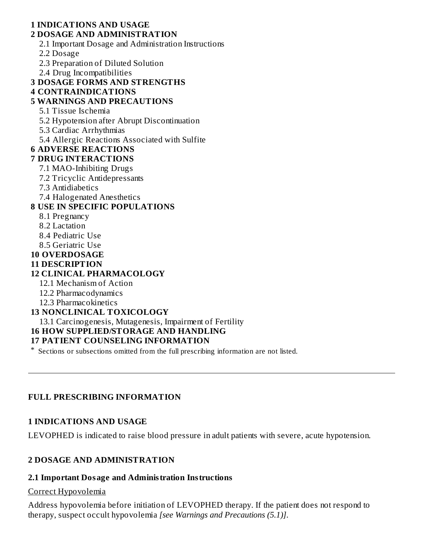#### **1 INDICATIONS AND USAGE 2 DOSAGE AND ADMINISTRATION**

2.1 Important Dosage and Administration Instructions

2.2 Dosage

2.3 Preparation of Diluted Solution

2.4 Drug Incompatibilities

### **3 DOSAGE FORMS AND STRENGTHS**

#### **4 CONTRAINDICATIONS**

# **5 WARNINGS AND PRECAUTIONS**

- 5.1 Tissue Ischemia
- 5.2 Hypotension after Abrupt Discontinuation
- 5.3 Cardiac Arrhythmias
- 5.4 Allergic Reactions Associated with Sulfite

# **6 ADVERSE REACTIONS**

- **7 DRUG INTERACTIONS**
	- 7.1 MAO-Inhibiting Drugs
	- 7.2 Tricyclic Antidepressants
	- 7.3 Antidiabetics
	- 7.4 Halogenated Anesthetics

## **8 USE IN SPECIFIC POPULATIONS**

- 8.1 Pregnancy
- 8.2 Lactation
- 8.4 Pediatric Use
- 8.5 Geriatric Use
- **10 OVERDOSAGE**

### **11 DESCRIPTION**

# **12 CLINICAL PHARMACOLOGY**

- 12.1 Mechanism of Action
- 12.2 Pharmacodynamics
- 12.3 Pharmacokinetics

# **13 NONCLINICAL TOXICOLOGY**

13.1 Carcinogenesis, Mutagenesis, Impairment of Fertility

### **16 HOW SUPPLIED/STORAGE AND HANDLING**

### **17 PATIENT COUNSELING INFORMATION**

\* Sections or subsections omitted from the full prescribing information are not listed.

### **FULL PRESCRIBING INFORMATION**

### **1 INDICATIONS AND USAGE**

LEVOPHED is indicated to raise blood pressure in adult patients with severe, acute hypotension.

# **2 DOSAGE AND ADMINISTRATION**

# **2.1 Important Dosage and Administration Instructions**

# Correct Hypovolemia

Address hypovolemia before initiation of LEVOPHED therapy. If the patient does not respond to therapy, suspect occult hypovolemia *[see Warnings and Precautions (5.1)]*.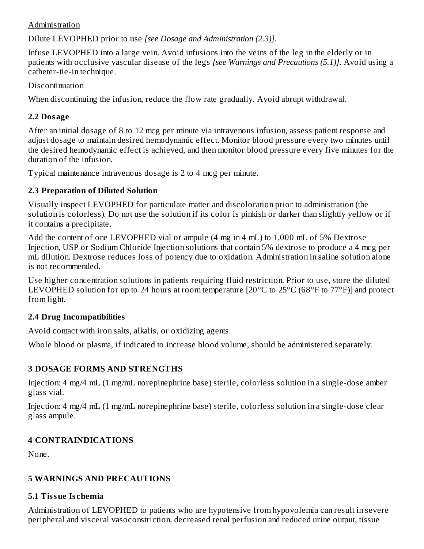#### Administration

Dilute LEVOPHED prior to use *[see Dosage and Administration (2.3)]*.

Infuse LEVOPHED into a large vein. Avoid infusions into the veins of the leg in the elderly or in patients with occlusive vascular disease of the legs *[see Warnings and Precautions (5.1)].* Avoid using a catheter-tie-in technique*.*

### Discontinuation

When discontinuing the infusion, reduce the flow rate gradually. Avoid abrupt withdrawal.

# **2.2 Dosage**

After an initial dosage of 8 to 12 mcg per minute via intravenous infusion, assess patient response and adjust dosage to maintain desired hemodynamic effect. Monitor blood pressure every two minutes until the desired hemodynamic effect is achieved, and then monitor blood pressure every five minutes for the duration of the infusion.

Typical maintenance intravenous dosage is 2 to 4 mcg per minute.

# **2.3 Preparation of Diluted Solution**

Visually inspect LEVOPHED for particulate matter and discoloration prior to administration (the solution is colorless)*.* Do not use the solution if its color is pinkish or darker than slightly yellow or if it contains a precipitate.

Add the content of one LEVOPHED vial or ampule (4 mg in 4 mL) to 1,000 mL of 5% Dextrose Injection, USP or Sodium Chloride Injection solutions that contain 5% dextrose to produce a 4 mcg per mL dilution. Dextrose reduces loss of potency due to oxidation. Administration in saline solution alone is not recommended.

Use higher concentration solutions in patients requiring fluid restriction. Prior to use, store the diluted LEVOPHED solution for up to 24 hours at room temperature [20°C to 25°C (68°F to 77°F)] and protect from light.

# **2.4 Drug Incompatibilities**

Avoid contact with iron salts, alkalis, or oxidizing agents.

Whole blood or plasma, if indicated to increase blood volume, should be administered separately.

# **3 DOSAGE FORMS AND STRENGTHS**

Injection: 4 mg/4 mL (1 mg/mL norepinephrine base) sterile, colorless solution in a single-dose amber glass vial.

Injection: 4 mg/4 mL (1 mg/mL norepinephrine base) sterile, colorless solution in a single-dose clear glass ampule.

# **4 CONTRAINDICATIONS**

None.

# **5 WARNINGS AND PRECAUTIONS**

# **5.1 Tissue Is chemia**

Administration of LEVOPHED to patients who are hypotensive from hypovolemia can result in severe peripheral and visceral vasoconstriction, decreased renal perfusion and reduced urine output, tissue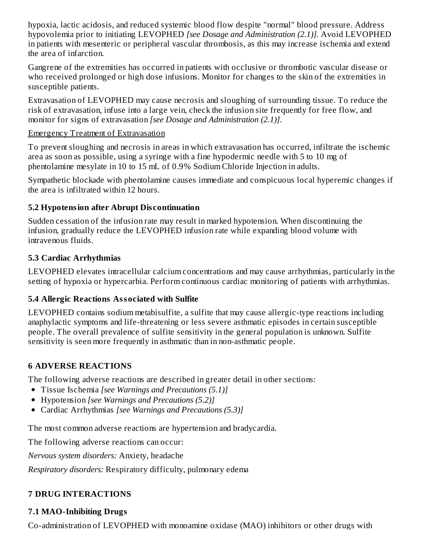hypoxia, lactic acidosis, and reduced systemic blood flow despite "normal" blood pressure. Address hypovolemia prior to initiating LEVOPHED *[see Dosage and Administration (2.1)].* Avoid LEVOPHED in patients with mesenteric or peripheral vascular thrombosis, as this may increase ischemia and extend the area of infarction.

Gangrene of the extremities has occurred in patients with occlusive or thrombotic vascular disease or who received prolonged or high dose infusions. Monitor for changes to the skin of the extremities in susceptible patients.

Extravasation of LEVOPHED may cause necrosis and sloughing of surrounding tissue. To reduce the risk of extravasation, infuse into a large vein, check the infusion site frequently for free flow, and monitor for signs of extravasation *[see Dosage and Administration (2.1)].*

### Emergency Treatment of Extravasation

To prevent sloughing and necrosis in areas in which extravasation has occurred, infiltrate the ischemic area as soon as possible, using a syringe with a fine hypodermic needle with 5 to 10 mg of phentolamine mesylate in 10 to 15 mL of 0.9% Sodium Chloride Injection in adults.

Sympathetic blockade with phentolamine causes immediate and conspicuous local hyperemic changes if the area is infiltrated within 12 hours.

# **5.2 Hypotension after Abrupt Dis continuation**

Sudden cessation of the infusion rate may result in marked hypotension. When discontinuing the infusion, gradually reduce the LEVOPHED infusion rate while expanding blood volume with intravenous fluids.

# **5.3 Cardiac Arrhythmias**

LEVOPHED elevates intracellular calcium concentrations and may cause arrhythmias, particularly in the setting of hypoxia or hypercarbia. Perform continuous cardiac monitoring of patients with arrhythmias.

# **5.4 Allergic Reactions Associated with Sulfite**

LEVOPHED contains sodium metabisulfite, a sulfite that may cause allergic-type reactions including anaphylactic symptoms and life-threatening or less severe asthmatic episodes in certain susceptible people. The overall prevalence of sulfite sensitivity in the general population is unknown. Sulfite sensitivity is seen more frequently in asthmatic than in non-asthmatic people.

# **6 ADVERSE REACTIONS**

The following adverse reactions are described in greater detail in other sections:

- Tissue Ischemia *[see Warnings and Precautions (5.1)]*
- Hypotension *[see Warnings and Precautions (5.2)]*
- Cardiac Arrhythmias *[see Warnings and Precautions (5.3)]*

The most common adverse reactions are hypertension and bradycardia.

The following adverse reactions can occur:

*Nervous system disorders:* Anxiety, headache

*Respiratory disorders:* Respiratory difficulty, pulmonary edema

# **7 DRUG INTERACTIONS**

# **7.1 MAO-Inhibiting Drugs**

Co-administration of LEVOPHED with monoamine oxidase (MAO) inhibitors or other drugs with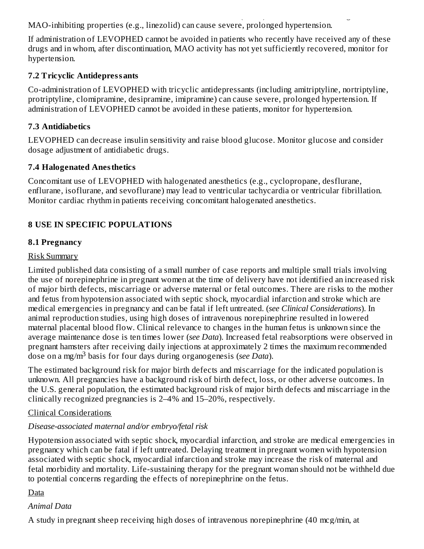Co-administration of LEVOPHED with monoamine oxidase (MAO) inhibitors or other drugs with MAO-inhibiting properties (e.g., linezolid) can cause severe, prolonged hypertension.

If administration of LEVOPHED cannot be avoided in patients who recently have received any of these drugs and in whom, after discontinuation, MAO activity has not yet sufficiently recovered, monitor for hypertension.

# **7.2 Tricyclic Antidepressants**

Co-administration of LEVOPHED with tricyclic antidepressants (including amitriptyline, nortriptyline, protriptyline, clomipramine, desipramine, imipramine) can cause severe, prolonged hypertension. If administration of LEVOPHED cannot be avoided in these patients, monitor for hypertension.

# **7.3 Antidiabetics**

LEVOPHED can decrease insulin sensitivity and raise blood glucose. Monitor glucose and consider dosage adjustment of antidiabetic drugs.

## **7.4 Halogenated Anesthetics**

Concomitant use of LEVOPHED with halogenated anesthetics (e.g., cyclopropane, desflurane, enflurane, isoflurane, and sevoflurane) may lead to ventricular tachycardia or ventricular fibrillation. Monitor cardiac rhythm in patients receiving concomitant halogenated anesthetics.

# **8 USE IN SPECIFIC POPULATIONS**

## **8.1 Pregnancy**

### Risk Summary

Limited published data consisting of a small number of case reports and multiple small trials involving the use of norepinephrine in pregnant women at the time of delivery have not identified an increased risk of major birth defects, miscarriage or adverse maternal or fetal outcomes. There are risks to the mother and fetus from hypotension associated with septic shock, myocardial infarction and stroke which are medical emergencies in pregnancy and can be fatal if left untreated. (*see Clinical Considerations*). In animal reproduction studies, using high doses of intravenous norepinephrine resulted in lowered maternal placental blood flow. Clinical relevance to changes in the human fetus is unknown since the average maintenance dose is ten times lower (*see Data*). Increased fetal reabsorptions were observed in pregnant hamsters after receiving daily injections at approximately 2 times the maximum recommended dose on a mg/m<sup>3</sup> basis for four days during organogenesis (*see Data*).

The estimated background risk for major birth defects and miscarriage for the indicated population is unknown. All pregnancies have a background risk of birth defect, loss, or other adverse outcomes. In the U.S. general population, the estimated background risk of major birth defects and miscarriage in the clinically recognized pregnancies is 2–4% and 15–20%, respectively.

### Clinical Considerations

### *Disease-associated maternal and/or embryo/fetal risk*

Hypotension associated with septic shock, myocardial infarction, and stroke are medical emergencies in pregnancy which can be fatal if left untreated. Delaying treatment in pregnant women with hypotension associated with septic shock, myocardial infarction and stroke may increase the risk of maternal and fetal morbidity and mortality. Life-sustaining therapy for the pregnant woman should not be withheld due to potential concerns regarding the effects of norepinephrine on the fetus.

### Data

### *Animal Data*

A study in pregnant sheep receiving high doses of intravenous norepinephrine (40 mcg/min, at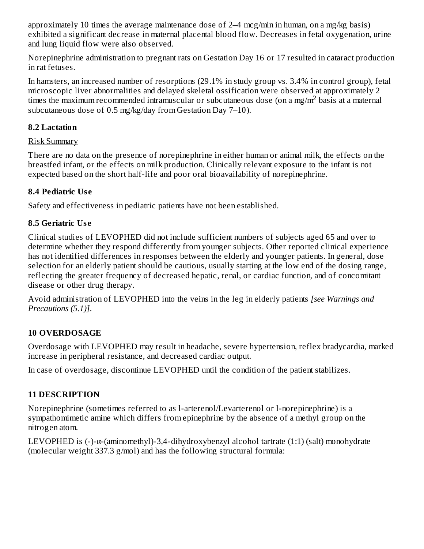approximately 10 times the average maintenance dose of 2–4 mcg/min in human, on a mg/kg basis) exhibited a significant decrease in maternal placental blood flow. Decreases in fetal oxygenation, urine and lung liquid flow were also observed.

Norepinephrine administration to pregnant rats on Gestation Day 16 or 17 resulted in cataract production in rat fetuses.

In hamsters, an increased number of resorptions (29.1% in study group vs. 3.4% in control group), fetal microscopic liver abnormalities and delayed skeletal ossification were observed at approximately 2 times the maximum recommended intramuscular or subcutaneous dose (on a mg/m<sup>2</sup> basis at a maternal subcutaneous dose of 0.5 mg/kg/day from Gestation Day 7–10).

### **8.2 Lactation**

#### Risk Summary

There are no data on the presence of norepinephrine in either human or animal milk, the effects on the breastfed infant, or the effects on milk production. Clinically relevant exposure to the infant is not expected based on the short half-life and poor oral bioavailability of norepinephrine.

## **8.4 Pediatric Us e**

Safety and effectiveness in pediatric patients have not been established.

# **8.5 Geriatric Us e**

Clinical studies of LEVOPHED did not include sufficient numbers of subjects aged 65 and over to determine whether they respond differently from younger subjects. Other reported clinical experience has not identified differences in responses between the elderly and younger patients. In general, dose selection for an elderly patient should be cautious, usually starting at the low end of the dosing range, reflecting the greater frequency of decreased hepatic, renal, or cardiac function, and of concomitant disease or other drug therapy.

Avoid administration of LEVOPHED into the veins in the leg in elderly patients *[see Warnings and Precautions (5.1)]*.

# **10 OVERDOSAGE**

Overdosage with LEVOPHED may result in headache, severe hypertension, reflex bradycardia, marked increase in peripheral resistance, and decreased cardiac output.

In case of overdosage, discontinue LEVOPHED until the condition of the patient stabilizes.

# **11 DESCRIPTION**

Norepinephrine (sometimes referred to as l-arterenol/Levarterenol or l-norepinephrine) is a sympathomimetic amine which differs from epinephrine by the absence of a methyl group on the nitrogen atom.

LEVOPHED is (-)-α-(aminomethyl)-3,4-dihydroxybenzyl alcohol tartrate (1:1) (salt) monohydrate (molecular weight 337.3 g/mol) and has the following structural formula: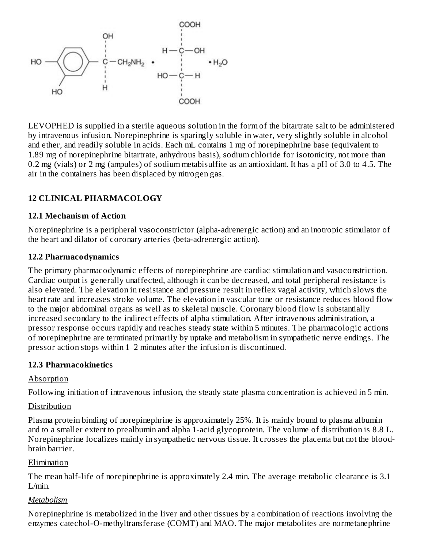

LEVOPHED is supplied in a sterile aqueous solution in the form of the bitartrate salt to be administered by intravenous infusion. Norepinephrine is sparingly soluble in water, very slightly soluble in alcohol and ether, and readily soluble in acids. Each mL contains 1 mg of norepinephrine base (equivalent to 1.89 mg of norepinephrine bitartrate, anhydrous basis), sodium chloride for isotonicity, not more than 0.2 mg (vials) or 2 mg (ampules) of sodium metabisulfite as an antioxidant. It has a pH of 3.0 to 4.5. The air in the containers has been displaced by nitrogen gas.

### **12 CLINICAL PHARMACOLOGY**

#### **12.1 Mechanism of Action**

Norepinephrine is a peripheral vasoconstrictor (alpha-adrenergic action) and an inotropic stimulator of the heart and dilator of coronary arteries (beta-adrenergic action).

#### **12.2 Pharmacodynamics**

The primary pharmacodynamic effects of norepinephrine are cardiac stimulation and vasoconstriction. Cardiac output is generally unaffected, although it can be decreased, and total peripheral resistance is also elevated. The elevation in resistance and pressure result in reflex vagal activity, which slows the heart rate and increases stroke volume. The elevation in vascular tone or resistance reduces blood flow to the major abdominal organs as well as to skeletal muscle. Coronary blood flow is substantially increased secondary to the indirect effects of alpha stimulation. After intravenous administration, a pressor response occurs rapidly and reaches steady state within 5 minutes. The pharmacologic actions of norepinephrine are terminated primarily by uptake and metabolism in sympathetic nerve endings. The pressor action stops within 1–2 minutes after the infusion is discontinued.

#### **12.3 Pharmacokinetics**

### Absorption

Following initiation of intravenous infusion, the steady state plasma concentration is achieved in 5 min.

### **Distribution**

Plasma protein binding of norepinephrine is approximately 25%. It is mainly bound to plasma albumin and to a smaller extent to prealbumin and alpha 1-acid glycoprotein. The volume of distribution is 8.8 L. Norepinephrine localizes mainly in sympathetic nervous tissue. It crosses the placenta but not the bloodbrain barrier.

#### Elimination

The mean half-life of norepinephrine is approximately 2.4 min. The average metabolic clearance is 3.1 L/min.

### *Metabolism*

Norepinephrine is metabolized in the liver and other tissues by a combination of reactions involving the enzymes catechol-O-methyltransferase (COMT) and MAO. The major metabolites are normetanephrine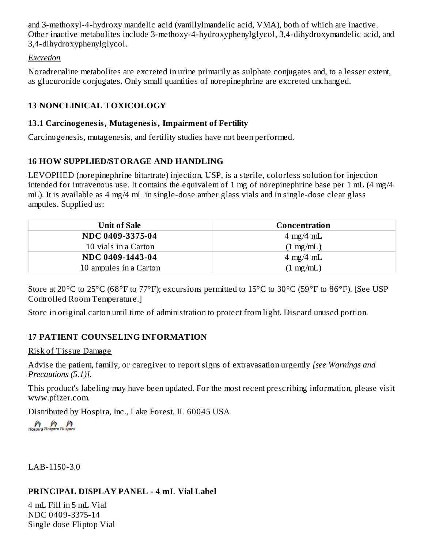and 3-methoxyl-4-hydroxy mandelic acid (vanillylmandelic acid, VMA), both of which are inactive. Other inactive metabolites include 3-methoxy-4-hydroxyphenylglycol, 3,4-dihydroxymandelic acid, and 3,4-dihydroxyphenylglycol.

#### *Excretion*

Noradrenaline metabolites are excreted in urine primarily as sulphate conjugates and, to a lesser extent, as glucuronide conjugates. Only small quantities of norepinephrine are excreted unchanged.

### **13 NONCLINICAL TOXICOLOGY**

#### **13.1 Carcinogenesis, Mutagenesis, Impairment of Fertility**

Carcinogenesis, mutagenesis, and fertility studies have not been performed.

### **16 HOW SUPPLIED/STORAGE AND HANDLING**

LEVOPHED (norepinephrine bitartrate) injection, USP, is a sterile, colorless solution for injection intended for intravenous use. It contains the equivalent of 1 mg of norepinephrine base per 1 mL (4 mg/4 mL). It is available as 4 mg/4 mL in single-dose amber glass vials and in single-dose clear glass ampules. Supplied as:

| Unit of Sale           | Concentration               |
|------------------------|-----------------------------|
| NDC 0409-3375-04       | $4 \text{ mg}/4 \text{ mL}$ |
| 10 vials in a Carton   | $(1 \text{ mg/mL})$         |
| NDC 0409-1443-04       | $4 \text{ mg}/4 \text{ mL}$ |
| 10 ampules in a Carton | $1$ mg/mL)                  |

Store at 20°C to 25°C (68°F to 77°F); excursions permitted to 15°C to 30°C (59°F to 86°F). [See USP Controlled Room Temperature.]

Store in original carton until time of administration to protect from light. Discard unused portion.

# **17 PATIENT COUNSELING INFORMATION**

#### Risk of Tissue Damage

Advise the patient, family, or caregiver to report signs of extravasation urgently *[see Warnings and Precautions (5.1)].*

This product's labeling may have been updated. For the most recent prescribing information, please visit www.pfizer.com.

Distributed by Hospira, Inc., Lake Forest, IL 60045 USA

LAB-1150-3.0

### **PRINCIPAL DISPLAY PANEL - 4 mL Vial Label**

4 mL Fill in 5 mL Vial NDC 0409-3375-14 Single dose Fliptop Vial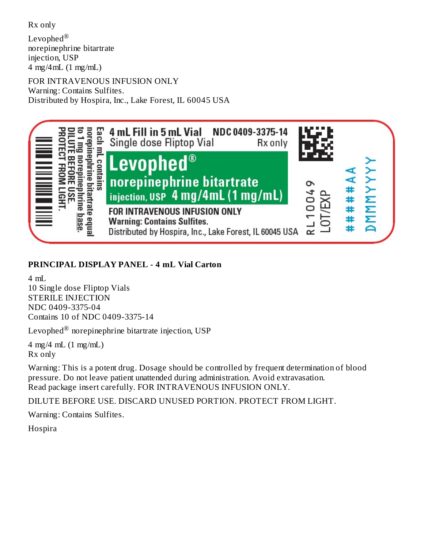Rx only

Levophed $^\circledR$ norepinephrine bitartrate injection, USP 4 mg/4mL (1 mg/mL)

FOR INTRAVENOUS INFUSION ONLY Warning: Contains Sulfites. Distributed by Hospira, Inc., Lake Forest, IL 60045 USA



## **PRINCIPAL DISPLAY PANEL - 4 mL Vial Carton**

4 mL 10 Single dose Fliptop Vials STERILE INJECTION NDC 0409-3375-04 Contains 10 of NDC 0409-3375-14

Levophed $^{\circledR}$  norepinephrine bitartrate injection, USP

4 mg/4 mL (1 mg/mL) Rx only

Warning: This is a potent drug. Dosage should be controlled by frequent determination of blood pressure. Do not leave patient unattended during administration. Avoid extravasation. Read package insert carefully. FOR INTRAVENOUS INFUSION ONLY.

DILUTE BEFORE USE. DISCARD UNUSED PORTION. PROTECT FROM LIGHT.

Warning: Contains Sulfites.

**Hospira**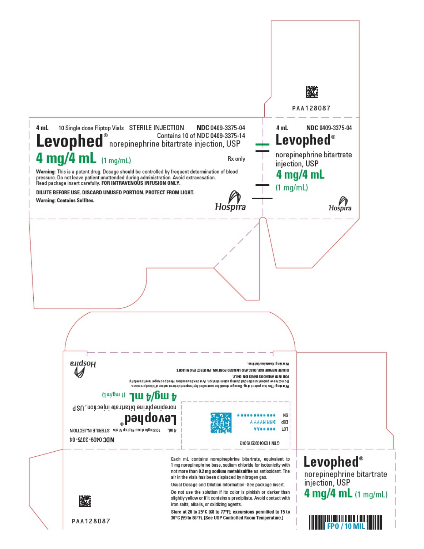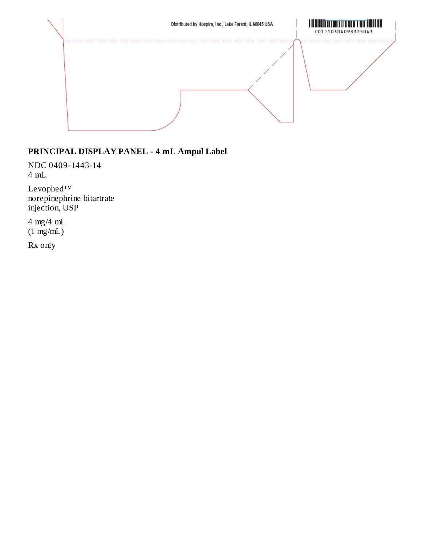

## **PRINCIPAL DISPLAY PANEL - 4 mL Ampul Label**

NDC 0409-1443-14 4 mL

Levophed™ norepinephrine bitartrate injection, USP

4 mg/4 mL  $(1 \text{ mg/mL})$ 

Rx only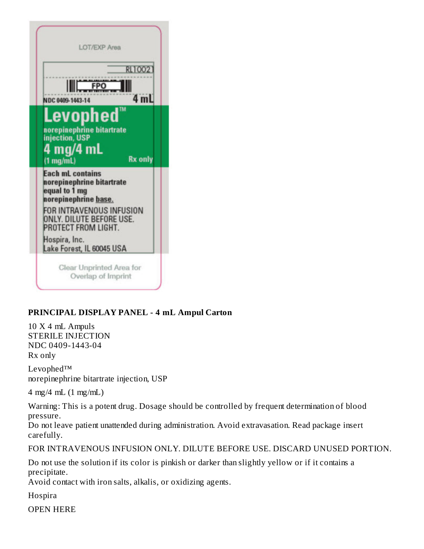| NDC 0409-1443-14                                          |                                                                                                      | <b>RL1002</b><br>4 mL    |
|-----------------------------------------------------------|------------------------------------------------------------------------------------------------------|--------------------------|
| 4 mg/4 mL<br>$(1 \text{ mg/mL})$                          | Levophed<br>norepinephrine bitartrate<br>injection, USP                                              | TM<br><b>Rx only</b>     |
| <b>Each mL contains</b><br>equal to 1 mg<br>Hospira, Inc. | norepinephrine bitartrate<br>norepinephrine base.<br>ONLY. DILUTE BEFORE USE.<br>PROTECT FROM LIGHT. | FOR INTRAVENOUS INFUSION |

# **PRINCIPAL DISPLAY PANEL - 4 mL Ampul Carton**

10 X 4 mL Ampuls STERILE INJECTION NDC 0409-1443-04 Rx only

Levophed™ norepinephrine bitartrate injection, USP

4 mg/4 mL (1 mg/mL)

Warning: This is a potent drug. Dosage should be controlled by frequent determination of blood pressure.

Do not leave patient unattended during administration. Avoid extravasation. Read package insert carefully.

FOR INTRAVENOUS INFUSION ONLY. DILUTE BEFORE USE. DISCARD UNUSED PORTION.

Do not use the solution if its color is pinkish or darker than slightly yellow or if it contains a precipitate.

Avoid contact with iron salts, alkalis, or oxidizing agents.

Hospira

OPEN HERE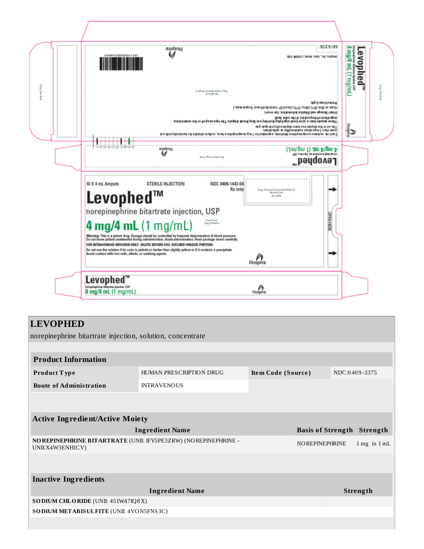

### **LEVOPHED**

norepinephrine bitartrate injection, solution, concentrate

| <b>Product Information</b>                                                          |                    |                          |               |                                  |                 |
|-------------------------------------------------------------------------------------|--------------------|--------------------------|---------------|----------------------------------|-----------------|
| <b>Product Type</b>                                                                 | Item Code (Source) |                          | NDC:0409-3375 |                                  |                 |
| <b>Route of Administration</b>                                                      | <b>INTRAVENOUS</b> |                          |               |                                  |                 |
|                                                                                     |                    |                          |               |                                  |                 |
|                                                                                     |                    |                          |               |                                  |                 |
| <b>Active Ingredient/Active Moiety</b>                                              |                    |                          |               |                                  |                 |
| <b>Ingredient Name</b>                                                              |                    | <b>Basis of Strength</b> |               | Strength                         |                 |
| NO REPINEPHRINE BITARTRATE (UNII: IFY5PE3ZRW) (NOREPINEPHRINE -<br>UNII:X4W3ENH1CV) |                    | <b>NOREPINEPHRINE</b>    |               | $1 \text{ mg}$ in $1 \text{ mL}$ |                 |
|                                                                                     |                    |                          |               |                                  |                 |
|                                                                                     |                    |                          |               |                                  |                 |
| <b>Inactive Ingredients</b>                                                         |                    |                          |               |                                  |                 |
| <b>Ingredient Name</b>                                                              |                    |                          |               |                                  | <b>Strength</b> |
| SODIUM CHLORIDE (UNII: 451W47IQ8X)                                                  |                    |                          |               |                                  |                 |
| SO DIUM METABISULFITE (UNII: 4VON5FNS3C)                                            |                    |                          |               |                                  |                 |
|                                                                                     |                    |                          |               |                                  |                 |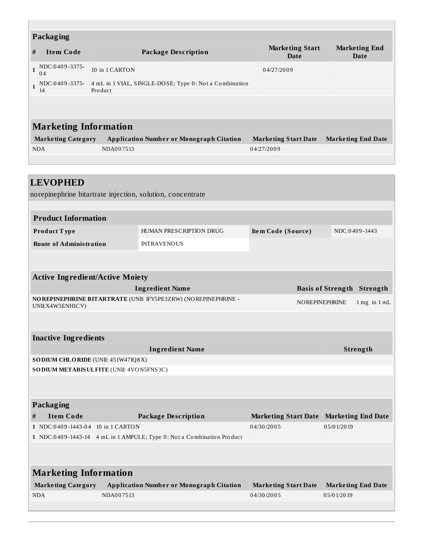| Packaging                                                                     |                           |                                                                   |                              |                             |                           |
|-------------------------------------------------------------------------------|---------------------------|-------------------------------------------------------------------|------------------------------|-----------------------------|---------------------------|
| #                                                                             | <b>Item Code</b>          | <b>Package Description</b>                                        | <b>Marketing End</b><br>Date |                             |                           |
| $\mathbf{1}$                                                                  | NDC:0409-3375-<br>04      | 10 in 1 CARTON                                                    |                              |                             |                           |
| $\mathbf{1}$                                                                  | NDC:0409-3375-<br>14      | 4 mL in 1 VIAL, SINGLE-DOSE; Type 0: Not a Combination<br>Product |                              |                             |                           |
|                                                                               |                           |                                                                   |                              |                             |                           |
| <b>Marketing Information</b>                                                  |                           |                                                                   |                              |                             |                           |
|                                                                               | <b>Marketing Category</b> | <b>Application Number or Monograph Citation</b>                   |                              | <b>Marketing Start Date</b> | <b>Marketing End Date</b> |
|                                                                               | <b>NDA</b>                | NDA007513                                                         |                              | 04/27/2009                  |                           |
|                                                                               |                           |                                                                   |                              |                             |                           |
|                                                                               |                           |                                                                   |                              |                             |                           |
| <b>LEVOPHED</b><br>norepinephrine bitartrate injection, solution, concentrate |                           |                                                                   |                              |                             |                           |

| <b>Product Information</b>     |                         |                    |               |  |
|--------------------------------|-------------------------|--------------------|---------------|--|
| Product Type                   | HUMAN PRESCRIPTION DRUG | Item Code (Source) | NDC:0409-1443 |  |
| <b>Route of Administration</b> | <b>INTRAVENOUS</b>      |                    |               |  |

|   | <b>Active Ingredient/Active Moiety</b>   |                                                                 |                                         |  |                          |                                  |  |
|---|------------------------------------------|-----------------------------------------------------------------|-----------------------------------------|--|--------------------------|----------------------------------|--|
|   |                                          | <b>Ingredient Name</b>                                          |                                         |  | <b>Basis of Strength</b> | Strength                         |  |
|   | UNII:X4W3ENH1CV)                         | NO REPINEPHRINE BITARTRATE (UNII: IFY5PE3ZRW) (NOREPINEPHRINE - |                                         |  | <b>NOREPINEPHRINE</b>    | $1 \text{ mg}$ in $1 \text{ mL}$ |  |
|   |                                          |                                                                 |                                         |  |                          |                                  |  |
|   | <b>Inactive Ingredients</b>              |                                                                 |                                         |  |                          |                                  |  |
|   | <b>Ingredient Name</b><br>Strength       |                                                                 |                                         |  |                          |                                  |  |
|   | SODIUM CHLORIDE (UNII: 451W47IQ8X)       |                                                                 |                                         |  |                          |                                  |  |
|   | SO DIUM METABISULFITE (UNII: 4VON5FNS3C) |                                                                 |                                         |  |                          |                                  |  |
|   |                                          |                                                                 |                                         |  |                          |                                  |  |
|   |                                          |                                                                 |                                         |  |                          |                                  |  |
|   | Packaging                                |                                                                 |                                         |  |                          |                                  |  |
| # | <b>Item Code</b>                         | <b>Package Description</b>                                      | Marketing Start Date Marketing End Date |  |                          |                                  |  |
|   | $1$ NDC:0409-1443-04                     | 10 in 1 CARTON                                                  | 04/30/2005                              |  | 05/01/2019               |                                  |  |
|   | $1$ NDC:0409-1443-14                     | 4 mL in 1 AMPULE; Type 0: Not a Combination Product             |                                         |  |                          |                                  |  |
|   |                                          |                                                                 |                                         |  |                          |                                  |  |
|   |                                          |                                                                 |                                         |  |                          |                                  |  |

| <b>Marketing Information</b> |                                          |                             |                           |  |
|------------------------------|------------------------------------------|-----------------------------|---------------------------|--|
| <b>Marketing Category</b>    | Application Number or Monograph Citation | <b>Marketing Start Date</b> | <b>Marketing End Date</b> |  |
| <b>NDA</b>                   | NDA007513                                | 04/30/2005                  | 0 5/0 1/20 19             |  |
|                              |                                          |                             |                           |  |